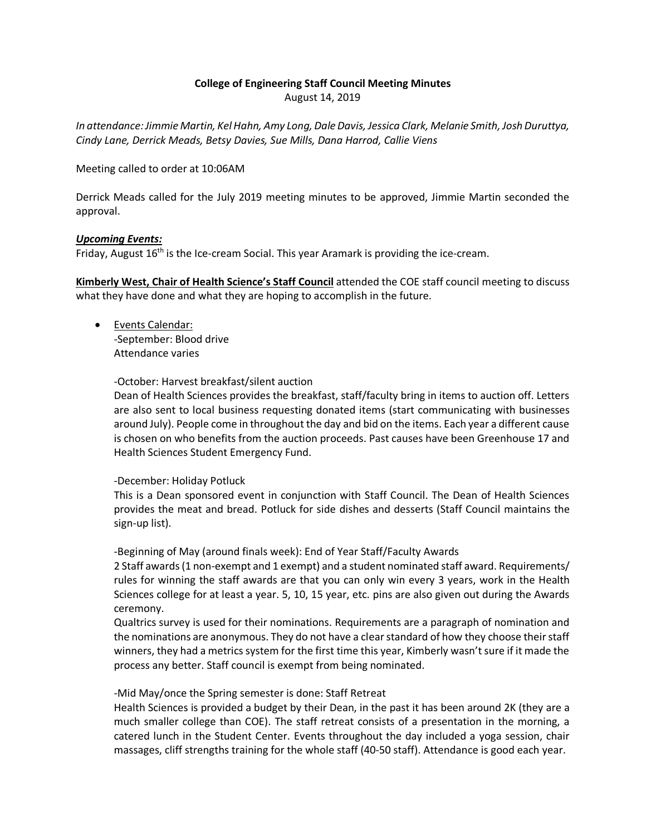### **College of Engineering Staff Council Meeting Minutes**

August 14, 2019

*In attendance: Jimmie Martin, Kel Hahn, Amy Long, Dale Davis, Jessica Clark, Melanie Smith, Josh Duruttya, Cindy Lane, Derrick Meads, Betsy Davies, Sue Mills, Dana Harrod, Callie Viens*

Meeting called to order at 10:06AM

Derrick Meads called for the July 2019 meeting minutes to be approved, Jimmie Martin seconded the approval.

### *Upcoming Events:*

Friday, August  $16<sup>th</sup>$  is the Ice-cream Social. This year Aramark is providing the ice-cream.

**Kimberly West, Chair of Health Science's Staff Council** attended the COE staff council meeting to discuss what they have done and what they are hoping to accomplish in the future.

• Events Calendar: -September: Blood drive Attendance varies

-October: Harvest breakfast/silent auction

Dean of Health Sciences provides the breakfast, staff/faculty bring in items to auction off. Letters are also sent to local business requesting donated items (start communicating with businesses around July). People come in throughout the day and bid on the items. Each year a different cause is chosen on who benefits from the auction proceeds. Past causes have been Greenhouse 17 and Health Sciences Student Emergency Fund.

#### -December: Holiday Potluck

This is a Dean sponsored event in conjunction with Staff Council. The Dean of Health Sciences provides the meat and bread. Potluck for side dishes and desserts (Staff Council maintains the sign-up list).

-Beginning of May (around finals week): End of Year Staff/Faculty Awards

2 Staff awards (1 non-exempt and 1 exempt) and a student nominated staff award. Requirements/ rules for winning the staff awards are that you can only win every 3 years, work in the Health Sciences college for at least a year. 5, 10, 15 year, etc. pins are also given out during the Awards ceremony.

Qualtrics survey is used for their nominations. Requirements are a paragraph of nomination and the nominations are anonymous. They do not have a clear standard of how they choose their staff winners, they had a metrics system for the first time this year, Kimberly wasn't sure if it made the process any better. Staff council is exempt from being nominated.

-Mid May/once the Spring semester is done: Staff Retreat

Health Sciences is provided a budget by their Dean, in the past it has been around 2K (they are a much smaller college than COE). The staff retreat consists of a presentation in the morning, a catered lunch in the Student Center. Events throughout the day included a yoga session, chair massages, cliff strengths training for the whole staff (40-50 staff). Attendance is good each year.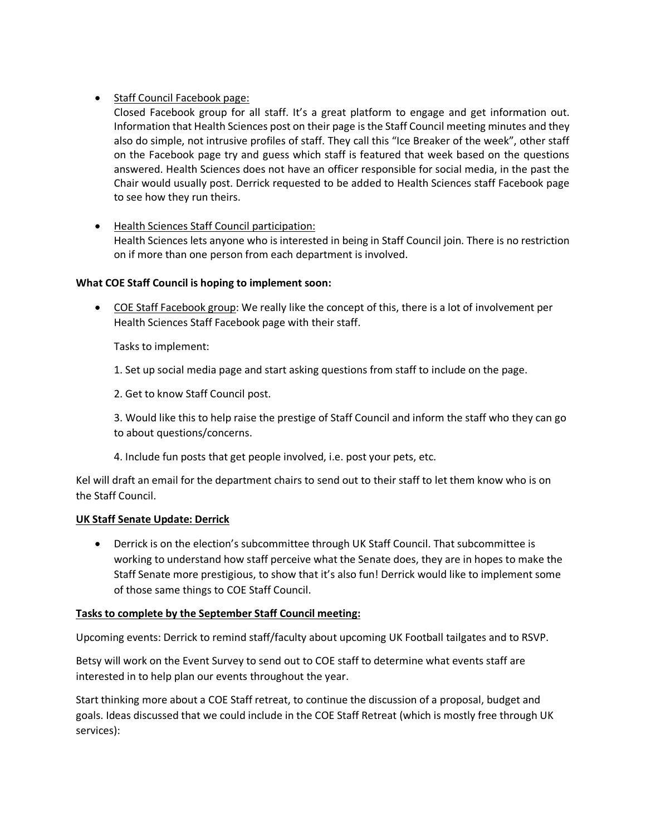# • Staff Council Facebook page:

Closed Facebook group for all staff. It's a great platform to engage and get information out. Information that Health Sciences post on their page is the Staff Council meeting minutes and they also do simple, not intrusive profiles of staff. They call this "Ice Breaker of the week", other staff on the Facebook page try and guess which staff is featured that week based on the questions answered. Health Sciences does not have an officer responsible for social media, in the past the Chair would usually post. Derrick requested to be added to Health Sciences staff Facebook page to see how they run theirs.

# • Health Sciences Staff Council participation:

Health Sciences lets anyone who is interested in being in Staff Council join. There is no restriction on if more than one person from each department is involved.

# **What COE Staff Council is hoping to implement soon:**

• COE Staff Facebook group: We really like the concept of this, there is a lot of involvement per Health Sciences Staff Facebook page with their staff.

Tasks to implement:

- 1. Set up social media page and start asking questions from staff to include on the page.
- 2. Get to know Staff Council post.

3. Would like this to help raise the prestige of Staff Council and inform the staff who they can go to about questions/concerns.

4. Include fun posts that get people involved, i.e. post your pets, etc.

Kel will draft an email for the department chairs to send out to their staff to let them know who is on the Staff Council.

## **UK Staff Senate Update: Derrick**

• Derrick is on the election's subcommittee through UK Staff Council. That subcommittee is working to understand how staff perceive what the Senate does, they are in hopes to make the Staff Senate more prestigious, to show that it's also fun! Derrick would like to implement some of those same things to COE Staff Council.

## **Tasks to complete by the September Staff Council meeting:**

Upcoming events: Derrick to remind staff/faculty about upcoming UK Football tailgates and to RSVP.

Betsy will work on the Event Survey to send out to COE staff to determine what events staff are interested in to help plan our events throughout the year.

Start thinking more about a COE Staff retreat, to continue the discussion of a proposal, budget and goals. Ideas discussed that we could include in the COE Staff Retreat (which is mostly free through UK services):